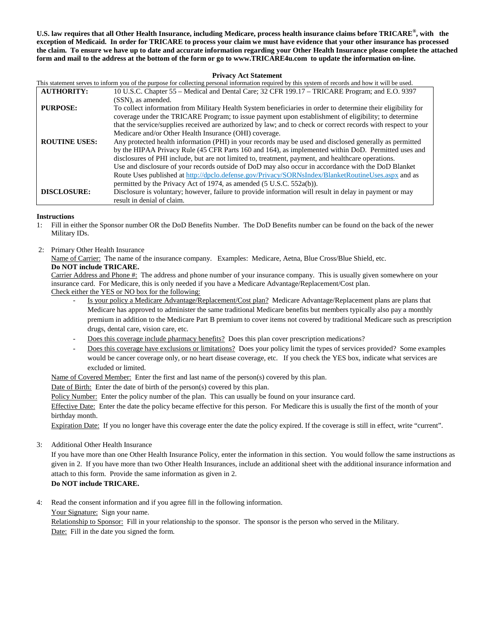**U.S. law requires that all Other Health Insurance, including Medicare, process health insurance claims before TRICARE®, with the exception of Medicaid. In order for TRICARE to process your claim we must have evidence that your other insurance has processed the claim. To ensure we have up to date and accurate information regarding your Other Health Insurance please complete the attached form and mail to the address at the bottom of the form or go to www.TRICARE4u.com to update the information on-line.**

## **Privacy Act Statement**

|                      | This statement serves to inform you of the purpose for collecting personal information required by this system of records and how it will be used. |
|----------------------|----------------------------------------------------------------------------------------------------------------------------------------------------|
| <b>AUTHORITY:</b>    | 10 U.S.C. Chapter 55 - Medical and Dental Care; 32 CFR 199.17 - TRICARE Program; and E.O. 9397                                                     |
|                      | (SSN), as amended.                                                                                                                                 |
| <b>PURPOSE:</b>      | To collect information from Military Health System beneficiaries in order to determine their eligibility for                                       |
|                      | coverage under the TRICARE Program; to issue payment upon establishment of eligibility; to determine                                               |
|                      | that the service/supplies received are authorized by law; and to check or correct records with respect to your                                     |
|                      | Medicare and/or Other Health Insurance (OHI) coverage.                                                                                             |
| <b>ROUTINE USES:</b> | Any protected health information (PHI) in your records may be used and disclosed generally as permitted                                            |
|                      | by the HIPAA Privacy Rule (45 CFR Parts 160 and 164), as implemented within DoD. Permitted uses and                                                |
|                      | disclosures of PHI include, but are not limited to, treatment, payment, and healthcare operations.                                                 |
|                      | Use and disclosure of your records outside of DoD may also occur in accordance with the DoD Blanket                                                |
|                      | Route Uses published at http://dpclo.defense.gov/Privacy/SORNsIndex/BlanketRoutineUses.aspx and as                                                 |
|                      | permitted by the Privacy Act of 1974, as amended (5 U.S.C. 552a(b)).                                                                               |
| <b>DISCLOSURE:</b>   | Disclosure is voluntary; however, failure to provide information will result in delay in payment or may                                            |
|                      | result in denial of claim.                                                                                                                         |

## **Instructions**

- 1: Fill in either the Sponsor number OR the DoD Benefits Number. The DoD Benefits number can be found on the back of the newer Military IDs.
- 2: Primary Other Health Insurance

Name of Carrier: The name of the insurance company. Examples: Medicare, Aetna, Blue Cross/Blue Shield, etc. **Do NOT include TRICARE.**

Carrier Address and Phone #: The address and phone number of your insurance company. This is usually given somewhere on your insurance card. For Medicare, this is only needed if you have a Medicare Advantage/Replacement/Cost plan. Check either the YES or NO box for the following:

- Is your policy a Medicare Advantage/Replacement/Cost plan? Medicare Advantage/Replacement plans are plans that Medicare has approved to administer the same traditional Medicare benefits but members typically also pay a monthly premium in addition to the Medicare Part B premium to cover items not covered by traditional Medicare such as prescription drugs, dental care, vision care, etc.
- Does this coverage include pharmacy benefits? Does this plan cover prescription medications?
- Does this coverage have exclusions or limitations? Does your policy limit the types of services provided? Some examples would be cancer coverage only, or no heart disease coverage, etc. If you check the YES box, indicate what services are excluded or limited.

Name of Covered Member: Enter the first and last name of the person(s) covered by this plan.

Date of Birth: Enter the date of birth of the person(s) covered by this plan.

Policy Number: Enter the policy number of the plan. This can usually be found on your insurance card.

Effective Date: Enter the date the policy became effective for this person. For Medicare this is usually the first of the month of your birthday month.

Expiration Date: If you no longer have this coverage enter the date the policy expired. If the coverage is still in effect, write "current".

3: Additional Other Health Insurance

If you have more than one Other Health Insurance Policy, enter the information in this section. You would follow the same instructions as given in 2. If you have more than two Other Health Insurances, include an additional sheet with the additional insurance information and attach to this form. Provide the same information as given in 2.

**Do NOT include TRICARE.**

4: Read the consent information and if you agree fill in the following information.

Your Signature: Sign your name.

Relationship to Sponsor: Fill in your relationship to the sponsor. The sponsor is the person who served in the Military. Date: Fill in the date you signed the form.